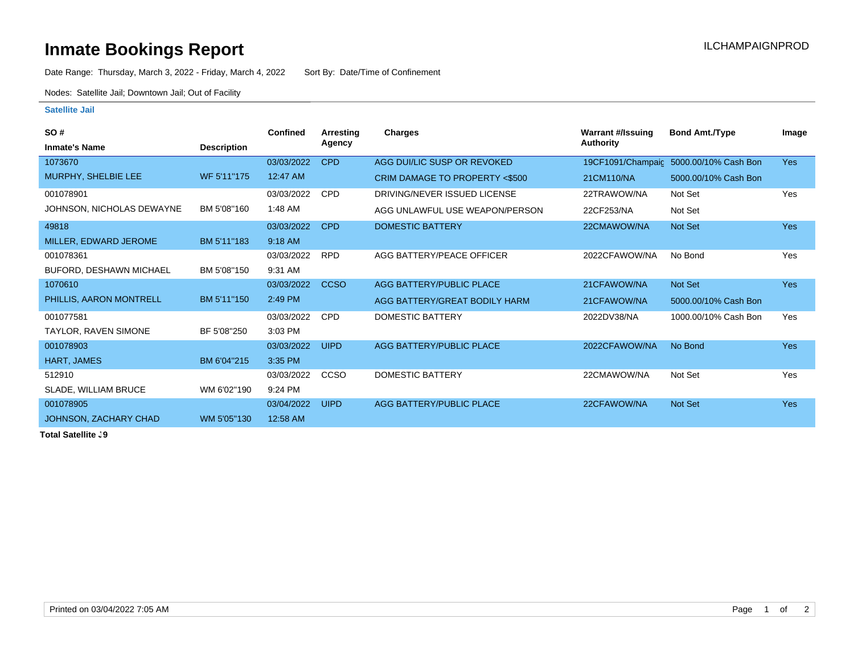## **Inmate Bookings Report Installation ILCHAMPAIGNPROD**

Date Range: Thursday, March 3, 2022 - Friday, March 4, 2022 Sort By: Date/Time of Confinement

Nodes: Satellite Jail; Downtown Jail; Out of Facility

## **Satellite Jail**

| SO#                            |                    | <b>Confined</b> | Arresting   | <b>Charges</b>                 | <b>Warrant #/Issuing</b> | <b>Bond Amt./Type</b>                  | Image      |
|--------------------------------|--------------------|-----------------|-------------|--------------------------------|--------------------------|----------------------------------------|------------|
| <b>Inmate's Name</b>           | <b>Description</b> |                 | Agency      |                                | <b>Authority</b>         |                                        |            |
| 1073670                        |                    | 03/03/2022      | <b>CPD</b>  | AGG DUI/LIC SUSP OR REVOKED    |                          | 19CF1091/Champaic 5000.00/10% Cash Bon | <b>Yes</b> |
| MURPHY, SHELBIE LEE            | WF 5'11"175        | 12:47 AM        |             | CRIM DAMAGE TO PROPERTY <\$500 | 21CM110/NA               | 5000.00/10% Cash Bon                   |            |
| 001078901                      |                    | 03/03/2022      | <b>CPD</b>  | DRIVING/NEVER ISSUED LICENSE   | 22TRAWOW/NA              | Not Set                                | Yes        |
| JOHNSON, NICHOLAS DEWAYNE      | BM 5'08"160        | 1:48 AM         |             | AGG UNLAWFUL USE WEAPON/PERSON | 22CF253/NA               | Not Set                                |            |
| 49818                          |                    | 03/03/2022      | <b>CPD</b>  | <b>DOMESTIC BATTERY</b>        | 22CMAWOW/NA              | Not Set                                | <b>Yes</b> |
| MILLER, EDWARD JEROME          | BM 5'11"183        | 9:18 AM         |             |                                |                          |                                        |            |
| 001078361                      |                    | 03/03/2022      | <b>RPD</b>  | AGG BATTERY/PEACE OFFICER      | 2022CFAWOW/NA            | No Bond                                | Yes        |
| <b>BUFORD, DESHAWN MICHAEL</b> | BM 5'08"150        | 9:31 AM         |             |                                |                          |                                        |            |
| 1070610                        |                    | 03/03/2022      | <b>CCSO</b> | AGG BATTERY/PUBLIC PLACE       | 21CFAWOW/NA              | Not Set                                | <b>Yes</b> |
| PHILLIS, AARON MONTRELL        | BM 5'11"150        | 2:49 PM         |             | AGG BATTERY/GREAT BODILY HARM  | 21CFAWOW/NA              | 5000.00/10% Cash Bon                   |            |
| 001077581                      |                    | 03/03/2022      | <b>CPD</b>  | DOMESTIC BATTERY               | 2022DV38/NA              | 1000.00/10% Cash Bon                   | Yes        |
| TAYLOR, RAVEN SIMONE           | BF 5'08"250        | 3:03 PM         |             |                                |                          |                                        |            |
| 001078903                      |                    | 03/03/2022      | <b>UIPD</b> | AGG BATTERY/PUBLIC PLACE       | 2022CFAWOW/NA            | No Bond                                | <b>Yes</b> |
| HART, JAMES                    | BM 6'04"215        | 3:35 PM         |             |                                |                          |                                        |            |
| 512910                         |                    | 03/03/2022      | CCSO        | DOMESTIC BATTERY               | 22CMAWOW/NA              | Not Set                                | Yes        |
| SLADE, WILLIAM BRUCE           | WM 6'02"190        | 9:24 PM         |             |                                |                          |                                        |            |
| 001078905                      |                    | 03/04/2022      | <b>UIPD</b> | AGG BATTERY/PUBLIC PLACE       | 22CFAWOW/NA              | Not Set                                | <b>Yes</b> |
| JOHNSON, ZACHARY CHAD          | WM 5'05"130        | 12:58 AM        |             |                                |                          |                                        |            |
| $T - 1 - 1 - 0 - 1 - 11$       |                    |                 |             |                                |                          |                                        |            |

**Total Satellite . 9**